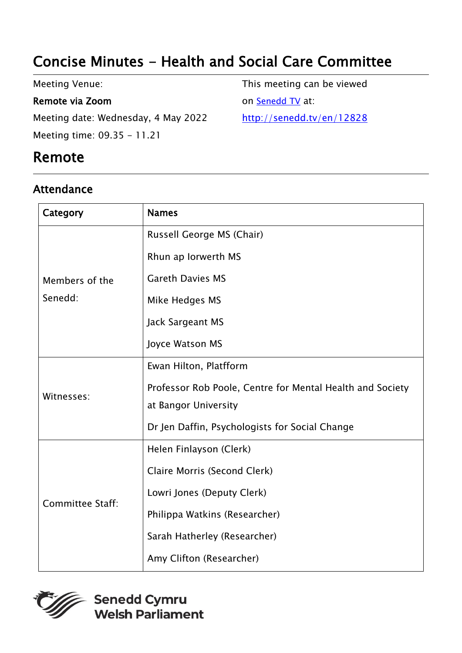# Concise Minutes - Health and Social Care Committee

Meeting Venue:

#### Remote via Zoom

Meeting date: Wednesday, 4 May 2022 Meeting time: 09.35 - 11.21

## Remote

### Attendance

This meeting can be viewed on [Senedd TV](http://senedd.tv/) at: http://senedd.tv/en/12828

| Category                  | <b>Names</b>                                              |
|---------------------------|-----------------------------------------------------------|
| Members of the<br>Senedd: | Russell George MS (Chair)                                 |
|                           | Rhun ap Iorwerth MS                                       |
|                           | <b>Gareth Davies MS</b>                                   |
|                           | Mike Hedges MS                                            |
|                           | Jack Sargeant MS                                          |
|                           | Joyce Watson MS                                           |
| Witnesses:                | Ewan Hilton, Platfform                                    |
|                           | Professor Rob Poole, Centre for Mental Health and Society |
|                           | at Bangor University                                      |
|                           | Dr Jen Daffin, Psychologists for Social Change            |
| <b>Committee Staff:</b>   | Helen Finlayson (Clerk)                                   |
|                           | Claire Morris (Second Clerk)                              |
|                           | Lowri Jones (Deputy Clerk)                                |
|                           | Philippa Watkins (Researcher)                             |
|                           | Sarah Hatherley (Researcher)                              |
|                           | Amy Clifton (Researcher)                                  |



Senedd Cymru **Welsh Parliament**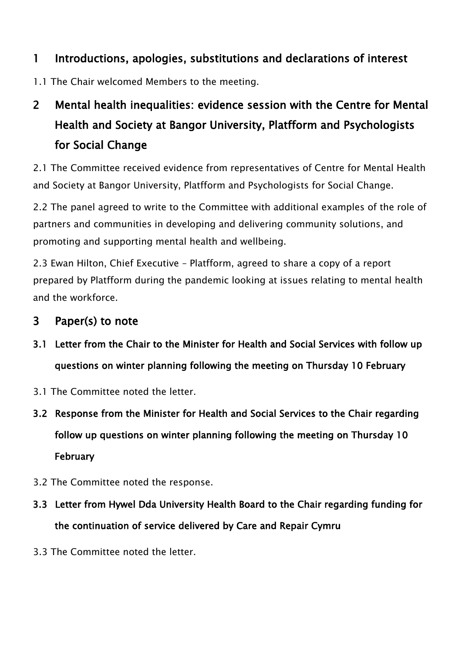### 1 Introductions, apologies, substitutions and declarations of interest

1.1 The Chair welcomed Members to the meeting.

# 2 Mental health inequalities: evidence session with the Centre for Mental Health and Society at Bangor University, Platfform and Psychologists for Social Change

2.1 The Committee received evidence from representatives of Centre for Mental Health and Society at Bangor University, Platfform and Psychologists for Social Change.

2.2 The panel agreed to write to the Committee with additional examples of the role of partners and communities in developing and delivering community solutions, and promoting and supporting mental health and wellbeing.

2.3 Ewan Hilton, Chief Executive – Platfform, agreed to share a copy of a report prepared by Platfform during the pandemic looking at issues relating to mental health and the workforce.

#### 3 Paper(s) to note

- 3.1 Letter from the Chair to the Minister for Health and Social Services with follow up questions on winter planning following the meeting on Thursday 10 February
- 3.1 The Committee noted the letter.
- 3.2 Response from the Minister for Health and Social Services to the Chair regarding follow up questions on winter planning following the meeting on Thursday 10 February
- 3.2 The Committee noted the response.
- 3.3 Letter from Hywel Dda University Health Board to the Chair regarding funding for the continuation of service delivered by Care and Repair Cymru
- 3.3 The Committee noted the letter.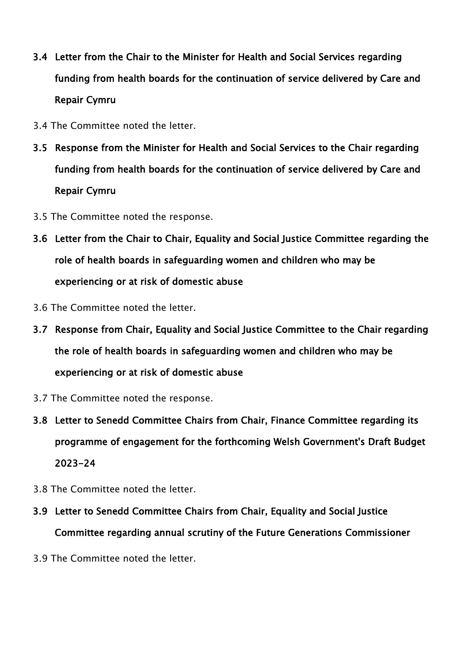- 3.4 Letter from the Chair to the Minister for Health and Social Services regarding funding from health boards for the continuation of service delivered by Care and Repair Cymru
- 3.4 The Committee noted the letter.
- 3.5 Response from the Minister for Health and Social Services to the Chair regarding funding from health boards for the continuation of service delivered by Care and Repair Cymru
- 3.5 The Committee noted the response.
- 3.6 Letter from the Chair to Chair, Equality and Social Justice Committee regarding the role of health boards in safeguarding women and children who may be experiencing or at risk of domestic abuse
- 3.6 The Committee noted the letter.
- 3.7 Response from Chair, Equality and Social Justice Committee to the Chair regarding the role of health boards in safeguarding women and children who may be experiencing or at risk of domestic abuse
- 3.7 The Committee noted the response.
- 3.8 Letter to Senedd Committee Chairs from Chair, Finance Committee regarding its programme of engagement for the forthcoming Welsh Government's Draft Budget 2023-24
- 3.8 The Committee noted the letter.
- 3.9 Letter to Senedd Committee Chairs from Chair, Equality and Social Justice Committee regarding annual scrutiny of the Future Generations Commissioner
- 3.9 The Committee noted the letter.